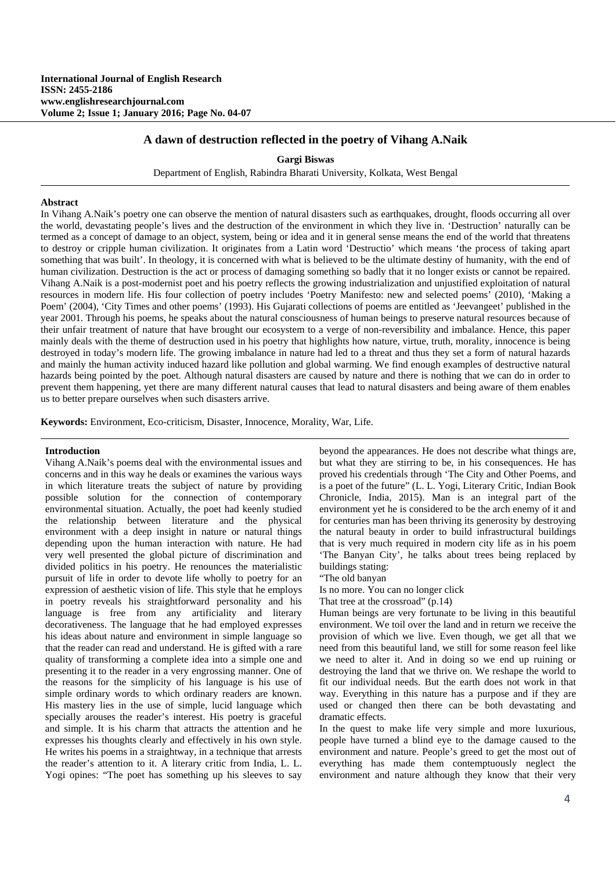# **A dawn of destruction reflected in the poetry of Vihang A.Naik**

**Gargi Biswas**

Department of English, Rabindra Bharati University, Kolkata, West Bengal

#### **Abstract**

In Vihang A.Naik's poetry one can observe the mention of natural disasters such as earthquakes, drought, floods occurring all over the world, devastating people's lives and the destruction of the environment in which they live in. 'Destruction' naturally can be termed as a concept of damage to an object, system, being or idea and it in general sense means the end of the world that threatens to destroy or cripple human civilization. It originates from a Latin word 'Destructio' which means 'the process of taking apart something that was built'. In theology, it is concerned with what is believed to be the ultimate destiny of humanity, with the end of human civilization. Destruction is the act or process of damaging something so badly that it no longer exists or cannot be repaired. Vihang A.Naik is a post-modernist poet and his poetry reflects the growing industrialization and unjustified exploitation of natural resources in modern life. His four collection of poetry includes 'Poetry Manifesto: new and selected poems' (2010), 'Making a Poem' (2004), 'City Times and other poems' (1993). His Gujarati collections of poems are entitled as 'Jeevangeet' published in the year 2001. Through his poems, he speaks about the natural consciousness of human beings to preserve natural resources because of their unfair treatment of nature that have brought our ecosystem to a verge of non-reversibility and imbalance. Hence, this paper mainly deals with the theme of destruction used in his poetry that highlights how nature, virtue, truth, morality, innocence is being destroyed in today's modern life. The growing imbalance in nature had led to a threat and thus they set a form of natural hazards and mainly the human activity induced hazard like pollution and global warming. We find enough examples of destructive natural hazards being pointed by the poet. Although natural disasters are caused by nature and there is nothing that we can do in order to prevent them happening, yet there are many different natural causes that lead to natural disasters and being aware of them enables us to better prepare ourselves when such disasters arrive.

**Keywords:** Environment, Eco-criticism, Disaster, Innocence, Morality, War, Life.

### **Introduction**

Vihang A.Naik's poems deal with the environmental issues and concerns and in this way he deals or examines the various ways in which literature treats the subject of nature by providing possible solution for the connection of contemporary environmental situation. Actually, the poet had keenly studied the relationship between literature and the physical environment with a deep insight in nature or natural things depending upon the human interaction with nature. He had very well presented the global picture of discrimination and divided politics in his poetry. He renounces the materialistic pursuit of life in order to devote life wholly to poetry for an expression of aesthetic vision of life. This style that he employs in poetry reveals his straightforward personality and his language is free from any artificiality and literary decorativeness. The language that he had employed expresses his ideas about nature and environment in simple language so that the reader can read and understand. He is gifted with a rare quality of transforming a complete idea into a simple one and presenting it to the reader in a very engrossing manner. One of the reasons for the simplicity of his language is his use of simple ordinary words to which ordinary readers are known. His mastery lies in the use of simple, lucid language which specially arouses the reader's interest. His poetry is graceful and simple. It is his charm that attracts the attention and he expresses his thoughts clearly and effectively in his own style. He writes his poems in a straightway, in a technique that arrests the reader's attention to it. A literary critic from India, L. L. Yogi opines: "The poet has something up his sleeves to say

beyond the appearances. He does not describe what things are, but what they are stirring to be, in his consequences. He has proved his credentials through 'The City and Other Poems, and is a poet of the future" (L. L. Yogi, Literary Critic, Indian Book Chronicle, India, 2015). Man is an integral part of the environment yet he is considered to be the arch enemy of it and for centuries man has been thriving its generosity by destroying the natural beauty in order to build infrastructural buildings that is very much required in modern city life as in his poem 'The Banyan City', he talks about trees being replaced by buildings stating:

"The old banyan

Is no more. You can no longer click

That tree at the crossroad" (p.14)

Human beings are very fortunate to be living in this beautiful environment. We toil over the land and in return we receive the provision of which we live. Even though, we get all that we need from this beautiful land, we still for some reason feel like we need to alter it. And in doing so we end up ruining or destroying the land that we thrive on. We reshape the world to fit our individual needs. But the earth does not work in that way. Everything in this nature has a purpose and if they are used or changed then there can be both devastating and dramatic effects.

In the quest to make life very simple and more luxurious, people have turned a blind eye to the damage caused to the environment and nature. People's greed to get the most out of everything has made them contemptuously neglect the environment and nature although they know that their very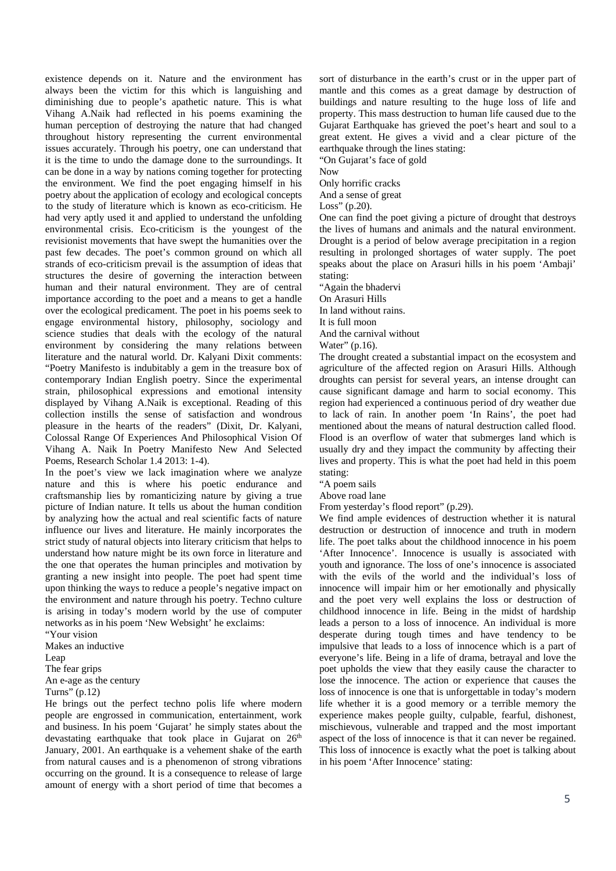existence depends on it. Nature and the environment has always been the victim for this which is languishing and diminishing due to people's apathetic nature. This is what Vihang A.Naik had reflected in his poems examining the human perception of destroying the nature that had changed throughout history representing the current environmental issues accurately. Through his poetry, one can understand that it is the time to undo the damage done to the surroundings. It can be done in a way by nations coming together for protecting the environment. We find the poet engaging himself in his poetry about the application of ecology and ecological concepts to the study of literature which is known as eco-criticism. He had very aptly used it and applied to understand the unfolding environmental crisis. Eco-criticism is the youngest of the revisionist movements that have swept the humanities over the past few decades. The poet's common ground on which all strands of eco-criticism prevail is the assumption of ideas that structures the desire of governing the interaction between human and their natural environment. They are of central importance according to the poet and a means to get a handle over the ecological predicament. The poet in his poems seek to engage environmental history, philosophy, sociology and science studies that deals with the ecology of the natural environment by considering the many relations between literature and the natural world. Dr. Kalyani Dixit comments: "Poetry Manifesto is indubitably a gem in the treasure box of contemporary Indian English poetry. Since the experimental strain, philosophical expressions and emotional intensity displayed by Vihang A.Naik is exceptional. Reading of this collection instills the sense of satisfaction and wondrous pleasure in the hearts of the readers" (Dixit, Dr. Kalyani, Colossal Range Of Experiences And Philosophical Vision Of Vihang A. Naik In Poetry Manifesto New And Selected Poems, Research Scholar 1.4 2013: 1-4).

In the poet's view we lack imagination where we analyze nature and this is where his poetic endurance and craftsmanship lies by romanticizing nature by giving a true picture of Indian nature. It tells us about the human condition by analyzing how the actual and real scientific facts of nature influence our lives and literature. He mainly incorporates the strict study of natural objects into literary criticism that helps to understand how nature might be its own force in literature and the one that operates the human principles and motivation by granting a new insight into people. The poet had spent time upon thinking the ways to reduce a people's negative impact on the environment and nature through his poetry. Techno culture is arising in today's modern world by the use of computer networks as in his poem 'New Websight' he exclaims: "Your vision

Makes an inductive

Leap

The fear grips

An e-age as the century

Turns" (p.12)

He brings out the perfect techno polis life where modern people are engrossed in communication, entertainment, work and business. In his poem 'Gujarat' he simply states about the devastating earthquake that took place in Gujarat on 26<sup>th</sup> January, 2001. An earthquake is a vehement shake of the earth from natural causes and is a phenomenon of strong vibrations occurring on the ground. It is a consequence to release of large amount of energy with a short period of time that becomes a sort of disturbance in the earth's crust or in the upper part of mantle and this comes as a great damage by destruction of buildings and nature resulting to the huge loss of life and property. This mass destruction to human life caused due to the Gujarat Earthquake has grieved the poet's heart and soul to a great extent. He gives a vivid and a clear picture of the earthquake through the lines stating: "On Gujarat's face of gold

Now

Only horrific cracks

And a sense of great

Loss"  $(p.20)$ .

One can find the poet giving a picture of drought that destroys the lives of humans and animals and the natural environment. Drought is a period of below average precipitation in a region resulting in prolonged shortages of water supply. The poet speaks about the place on Arasuri hills in his poem 'Ambaji' stating:

"Again the bhadervi

On Arasuri Hills

In land without rains.

It is full moon

And the carnival without

Water" (p.16).

The drought created a substantial impact on the ecosystem and agriculture of the affected region on Arasuri Hills. Although droughts can persist for several years, an intense drought can cause significant damage and harm to social economy. This region had experienced a continuous period of dry weather due to lack of rain. In another poem 'In Rains', the poet had mentioned about the means of natural destruction called flood. Flood is an overflow of water that submerges land which is usually dry and they impact the community by affecting their lives and property. This is what the poet had held in this poem stating:

"A poem sails

Above road lane

From yesterday's flood report" (p.29).

We find ample evidences of destruction whether it is natural destruction or destruction of innocence and truth in modern life. The poet talks about the childhood innocence in his poem 'After Innocence'. Innocence is usually is associated with youth and ignorance. The loss of one's innocence is associated with the evils of the world and the individual's loss of innocence will impair him or her emotionally and physically and the poet very well explains the loss or destruction of childhood innocence in life. Being in the midst of hardship leads a person to a loss of innocence. An individual is more desperate during tough times and have tendency to be impulsive that leads to a loss of innocence which is a part of everyone's life. Being in a life of drama, betrayal and love the poet upholds the view that they easily cause the character to lose the innocence. The action or experience that causes the loss of innocence is one that is unforgettable in today's modern life whether it is a good memory or a terrible memory the experience makes people guilty, culpable, fearful, dishonest, mischievous, vulnerable and trapped and the most important aspect of the loss of innocence is that it can never be regained. This loss of innocence is exactly what the poet is talking about in his poem 'After Innocence' stating: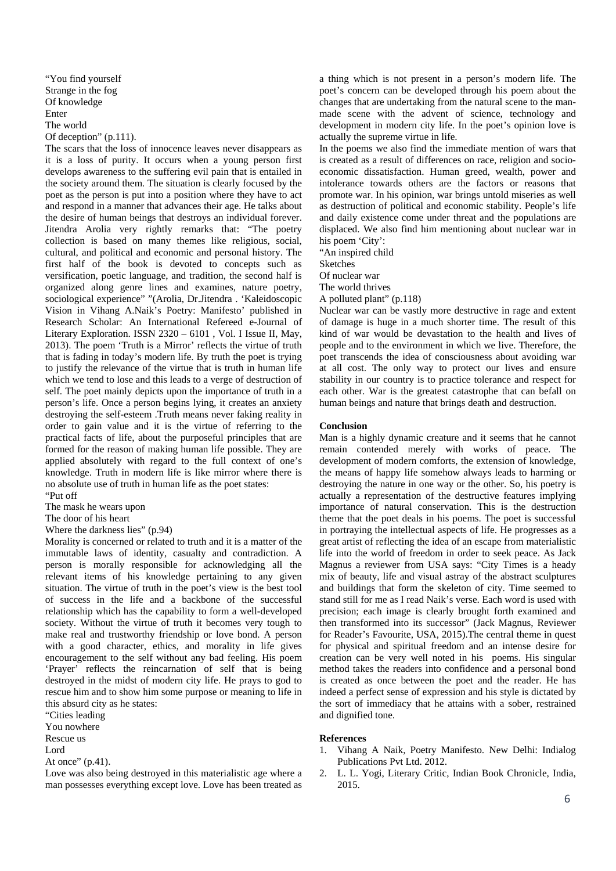"You find yourself Strange in the fog Of knowledge Enter The world Of deception" (p.111).

The scars that the loss of innocence leaves never disappears as it is a loss of purity. It occurs when a young person first develops awareness to the suffering evil pain that is entailed in the society around them. The situation is clearly focused by the poet as the person is put into a position where they have to act and respond in a manner that advances their age. He talks about the desire of human beings that destroys an individual forever. Jitendra Arolia very rightly remarks that: "The poetry collection is based on many themes like religious, social, cultural, and political and economic and personal history. The first half of the book is devoted to concepts such as versification, poetic language, and tradition, the second half is organized along genre lines and examines, nature poetry, sociological experience" "(Arolia, Dr.Jitendra . 'Kaleidoscopic Vision in Vihang A.Naik's Poetry: Manifesto' published in Research Scholar: An International Refereed e-Journal of Literary Exploration. ISSN 2320 – 6101 , Vol. I Issue II, May, 2013). The poem 'Truth is a Mirror' reflects the virtue of truth that is fading in today's modern life. By truth the poet is trying to justify the relevance of the virtue that is truth in human life which we tend to lose and this leads to a verge of destruction of self. The poet mainly depicts upon the importance of truth in a person's life. Once a person begins lying, it creates an anxiety destroying the self-esteem .Truth means never faking reality in order to gain value and it is the virtue of referring to the practical facts of life, about the purposeful principles that are formed for the reason of making human life possible. They are applied absolutely with regard to the full context of one's knowledge. Truth in modern life is like mirror where there is no absolute use of truth in human life as the poet states: "Put off

The mask he wears upon

The door of his heart

Where the darkness lies" (p.94)

Morality is concerned or related to truth and it is a matter of the immutable laws of identity, casualty and contradiction. A person is morally responsible for acknowledging all the relevant items of his knowledge pertaining to any given situation. The virtue of truth in the poet's view is the best tool of success in the life and a backbone of the successful relationship which has the capability to form a well-developed society. Without the virtue of truth it becomes very tough to make real and trustworthy friendship or love bond. A person with a good character, ethics, and morality in life gives encouragement to the self without any bad feeling. His poem 'Prayer' reflects the reincarnation of self that is being destroyed in the midst of modern city life. He prays to god to rescue him and to show him some purpose or meaning to life in this absurd city as he states:

"Cities leading

You nowhere Rescue us

Lord

At once" (p.41).

Love was also being destroyed in this materialistic age where a man possesses everything except love. Love has been treated as a thing which is not present in a person's modern life. The poet's concern can be developed through his poem about the changes that are undertaking from the natural scene to the manmade scene with the advent of science, technology and development in modern city life. In the poet's opinion love is actually the supreme virtue in life.

In the poems we also find the immediate mention of wars that is created as a result of differences on race, religion and socioeconomic dissatisfaction. Human greed, wealth, power and intolerance towards others are the factors or reasons that promote war. In his opinion, war brings untold miseries as well as destruction of political and economic stability. People's life and daily existence come under threat and the populations are displaced. We also find him mentioning about nuclear war in his poem 'City':

"An inspired child

Sketches

Of nuclear war

The world thrives

A polluted plant" (p.118)

Nuclear war can be vastly more destructive in rage and extent of damage is huge in a much shorter time. The result of this kind of war would be devastation to the health and lives of people and to the environment in which we live. Therefore, the poet transcends the idea of consciousness about avoiding war at all cost. The only way to protect our lives and ensure stability in our country is to practice tolerance and respect for each other. War is the greatest catastrophe that can befall on human beings and nature that brings death and destruction.

## **Conclusion**

Man is a highly dynamic creature and it seems that he cannot remain contended merely with works of peace. The development of modern comforts, the extension of knowledge, the means of happy life somehow always leads to harming or destroying the nature in one way or the other. So, his poetry is actually a representation of the destructive features implying importance of natural conservation. This is the destruction theme that the poet deals in his poems. The poet is successful in portraying the intellectual aspects of life. He progresses as a great artist of reflecting the idea of an escape from materialistic life into the world of freedom in order to seek peace. As Jack Magnus a reviewer from USA says: "City Times is a heady mix of beauty, life and visual astray of the abstract sculptures and buildings that form the skeleton of city. Time seemed to stand still for me as I read Naik's verse. Each word is used with precision; each image is clearly brought forth examined and then transformed into its successor" (Jack Magnus, Reviewer for Reader's Favourite, USA, 2015).The central theme in quest for physical and spiritual freedom and an intense desire for creation can be very well noted in his poems. His singular method takes the readers into confidence and a personal bond is created as once between the poet and the reader. He has indeed a perfect sense of expression and his style is dictated by the sort of immediacy that he attains with a sober, restrained and dignified tone.

### **References**

- 1. Vihang A Naik, Poetry Manifesto. New Delhi: Indialog Publications Pvt Ltd. 2012.
- 2. L. L. Yogi, Literary Critic, Indian Book Chronicle, India, 2015.